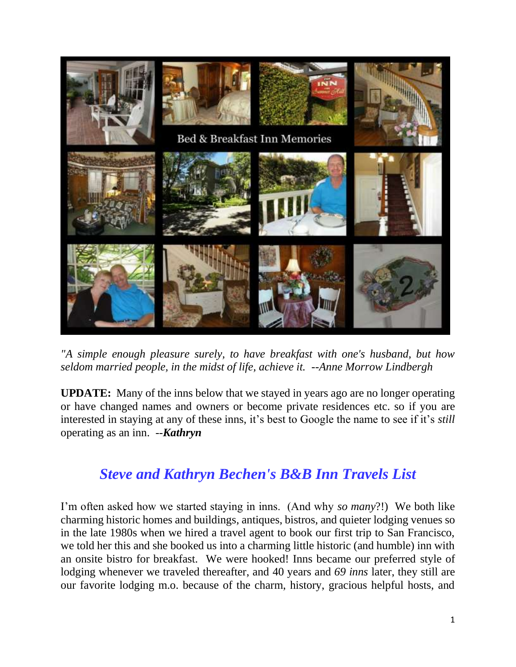

*"A simple enough pleasure surely, to have breakfast with one's husband, but how seldom married people, in the midst of life, achieve it. --Anne Morrow Lindbergh*

**UPDATE:** Many of the inns below that we stayed in years ago are no longer operating or have changed names and owners or become private residences etc. so if you are interested in staying at any of these inns, it's best to Google the name to see if it's *still* operating as an inn. --*Kathryn* 

# *Steve and Kathryn Bechen's B&B Inn Travels List*

I'm often asked how we started staying in inns. (And why *so many*?!) We both like charming historic homes and buildings, antiques, bistros, and quieter lodging venues so in the late 1980s when we hired a travel agent to book our first trip to San Francisco, we told her this and she booked us into a charming little historic (and humble) inn with an onsite bistro for breakfast. We were hooked! Inns became our preferred style of lodging whenever we traveled thereafter, and 40 years and *69 inns* later, they still are our favorite lodging m.o. because of the charm, history, gracious helpful hosts, and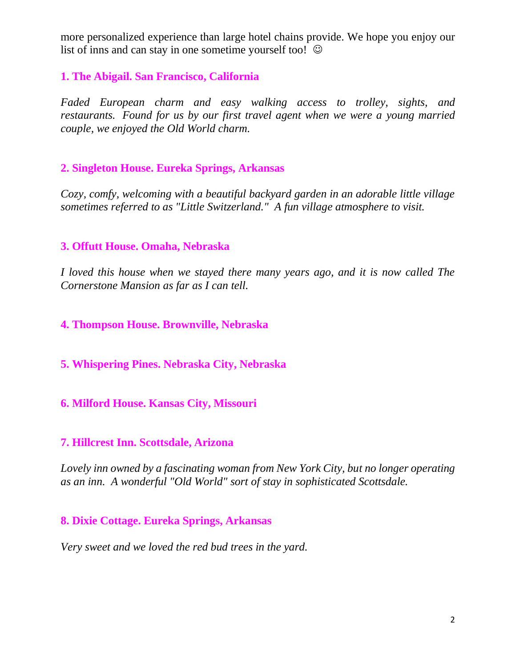more personalized experience than large hotel chains provide. We hope you enjoy our list of inns and can stay in one sometime yourself too!  $\odot$ 

### **1. The Abigail. San Francisco, California**

*Faded European charm and easy walking access to trolley, sights, and restaurants. Found for us by our first travel agent when we were a young married couple, we enjoyed the Old World charm.*

### **2. Singleton House. Eureka Springs, Arkansas**

*Cozy, comfy, welcoming with a beautiful backyard garden in an adorable little village sometimes referred to as "Little Switzerland." A fun village atmosphere to visit.*

### **3. Offutt House. Omaha, Nebraska**

*I loved this house when we stayed there many years ago, and it is now called The Cornerstone Mansion as far as I can tell.*

### **4. Thompson House. Brownville, Nebraska**

### **5. Whispering Pines. Nebraska City, Nebraska**

### **6. Milford House. Kansas City, Missouri**

#### **7. Hillcrest Inn. Scottsdale, Arizona**

*Lovely inn owned by a fascinating woman from New York City, but no longer operating as an inn. A wonderful "Old World" sort of stay in sophisticated Scottsdale.*

### **8. Dixie Cottage. Eureka Springs, Arkansas**

*Very sweet and we loved the red bud trees in the yard.*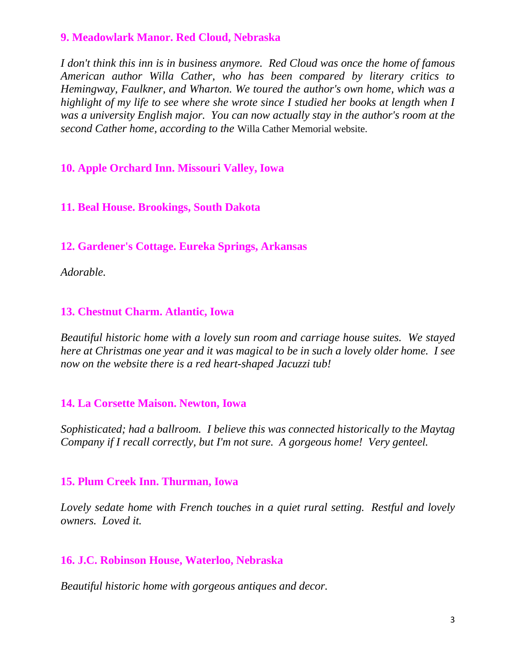### **9. Meadowlark Manor. Red Cloud, Nebraska**

*I don't think this inn is in business anymore. Red Cloud was once the home of famous American author Willa Cather, who has been compared by literary critics to Hemingway, Faulkner, and Wharton. We toured the author's own home, which was a highlight of my life to see where she wrote since I studied her books at length when I was a university English major. You can now actually stay in the author's room at the second Cather home, according to the* Willa Cather Memorial website.

# **10. Apple Orchard Inn. Missouri Valley, Iowa**

### **11. Beal House. Brookings, South Dakota**

**12. Gardener's Cottage. Eureka Springs, Arkansas** 

*Adorable.*

# **13. Chestnut Charm. Atlantic, Iowa**

*Beautiful historic home with a lovely sun room and carriage house suites. We stayed here at Christmas one year and it was magical to be in such a lovely older home. I see now on the website there is a red heart-shaped Jacuzzi tub!*

### **14. La Corsette Maison. Newton, Iowa**

*Sophisticated; had a ballroom. I believe this was connected historically to the Maytag Company if I recall correctly, but I'm not sure. A gorgeous home! Very genteel.*

### **15. Plum Creek Inn. Thurman, Iowa**

*Lovely sedate home with French touches in a quiet rural setting. Restful and lovely owners. Loved it.*

### **16. J.C. Robinson House, Waterloo, Nebraska**

*Beautiful historic home with gorgeous antiques and decor.*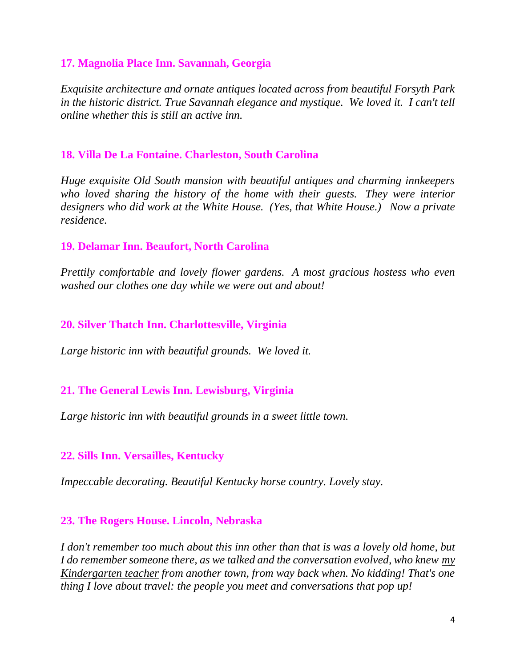### **17. Magnolia Place Inn. Savannah, Georgia**

*Exquisite architecture and ornate antiques located across from beautiful Forsyth Park in the historic district. True Savannah elegance and mystique. We loved it. I can't tell online whether this is still an active inn.*

### **18. Villa De La Fontaine. Charleston, South Carolina**

*Huge exquisite Old South mansion with beautiful antiques and charming innkeepers who loved sharing the history of the home with their guests. They were interior designers who did work at the White House. (Yes, that White House.) Now a private residence.*

### **19. Delamar Inn. Beaufort, North Carolina**

*Prettily comfortable and lovely flower gardens. A most gracious hostess who even washed our clothes one day while we were out and about!* 

### **20. Silver Thatch Inn. Charlottesville, Virginia**

*Large historic inn with beautiful grounds. We loved it.*

# **21. The General Lewis Inn. Lewisburg, Virginia**

*Large historic inn with beautiful grounds in a sweet little town.*

# **22. Sills Inn. Versailles, Kentucky**

*Impeccable decorating. Beautiful Kentucky horse country. Lovely stay.*

### **23. The Rogers House. Lincoln, Nebraska**

*I don't remember too much about this inn other than that is was a lovely old home, but I do remember someone there, as we talked and the conversation evolved, who knew my Kindergarten teacher from another town, from way back when. No kidding! That's one thing I love about travel: the people you meet and conversations that pop up!*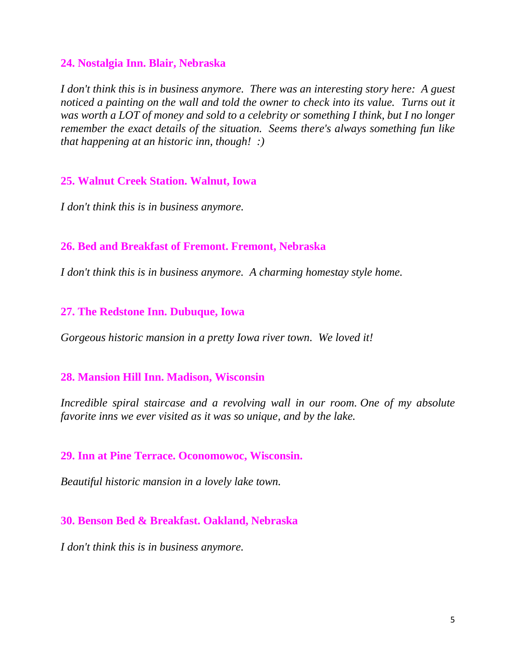#### **24. Nostalgia Inn. Blair, Nebraska**

*I don't think this is in business anymore. There was an interesting story here: A guest noticed a painting on the wall and told the owner to check into its value. Turns out it was worth a LOT of money and sold to a celebrity or something I think, but I no longer remember the exact details of the situation. Seems there's always something fun like that happening at an historic inn, though! :)*

#### **25. Walnut Creek Station. Walnut, Iowa**

*I don't think this is in business anymore.*

#### **26. Bed and Breakfast of Fremont. Fremont, Nebraska**

*I don't think this is in business anymore. A charming homestay style home.*

#### **27. The Redstone Inn. Dubuque, Iowa**

*Gorgeous historic mansion in a pretty Iowa river town. We loved it!*

#### **28. Mansion Hill Inn. Madison, Wisconsin**

*Incredible spiral staircase and a revolving wall in our room. One of my absolute favorite inns we ever visited as it was so unique, and by the lake.*

### **29. Inn at Pine Terrace. Oconomowoc, Wisconsin.**

*Beautiful historic mansion in a lovely lake town.*

### **30. Benson Bed & Breakfast. Oakland, Nebraska**

*I don't think this is in business anymore.*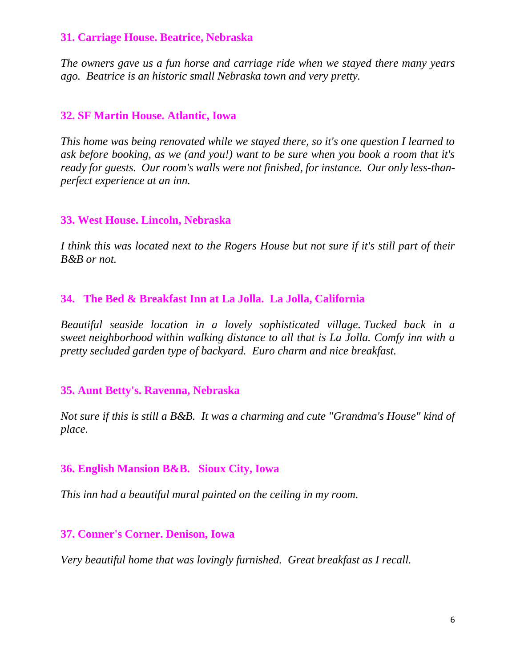### **31. Carriage House. Beatrice, Nebraska**

*The owners gave us a fun horse and carriage ride when we stayed there many years ago. Beatrice is an historic small Nebraska town and very pretty.*

### **32. SF Martin House. Atlantic, Iowa**

*This home was being renovated while we stayed there, so it's one question I learned to ask before booking, as we (and you!) want to be sure when you book a room that it's ready for guests. Our room's walls were not finished, for instance. Our only less-thanperfect experience at an inn.*

### **33. West House. Lincoln, Nebraska**

*I think this was located next to the Rogers House but not sure if it's still part of their B&B or not.*

### **34. The Bed & Breakfast Inn at La Jolla. La Jolla, California**

*Beautiful seaside location in a lovely sophisticated village. Tucked back in a sweet neighborhood within walking distance to all that is La Jolla. Comfy inn with a pretty secluded garden type of backyard. Euro charm and nice breakfast.*

### **35. Aunt Betty's. Ravenna, Nebraska**

*Not sure if this is still a B&B. It was a charming and cute "Grandma's House" kind of place.*

### **36. English Mansion B&B. Sioux City, Iowa**

*This inn had a beautiful mural painted on the ceiling in my room.* 

### **37. Conner's Corner. Denison, Iowa**

*Very beautiful home that was lovingly furnished. Great breakfast as I recall.*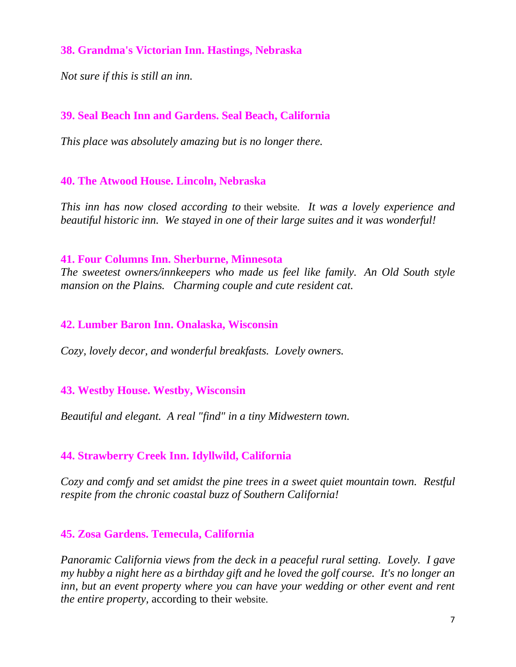### **38. Grandma's Victorian Inn. Hastings, Nebraska**

*Not sure if this is still an inn.*

# **39. Seal Beach Inn and Gardens. Seal Beach, California**

*This place was absolutely amazing but is no longer there.*

### **40. The Atwood House. Lincoln, Nebraska**

*This inn has now closed according to* their website. *It was a lovely experience and beautiful historic inn. We stayed in one of their large suites and it was wonderful!*

#### **41. Four Columns Inn. Sherburne, Minnesota**

*The sweetest owners/innkeepers who made us feel like family. An Old South style mansion on the Plains. Charming couple and cute resident cat.* 

#### **42. Lumber Baron Inn. Onalaska, Wisconsin**

*Cozy, lovely decor, and wonderful breakfasts. Lovely owners.*

### **43. Westby House. Westby, Wisconsin**

*Beautiful and elegant. A real "find" in a tiny Midwestern town.*

# **44. Strawberry Creek Inn. Idyllwild, California**

*Cozy and comfy and set amidst the pine trees in a sweet quiet mountain town. Restful respite from the chronic coastal buzz of Southern California!*

### **45. Zosa Gardens. Temecula, California**

*Panoramic California views from the deck in a peaceful rural setting. Lovely. I gave my hubby a night here as a birthday gift and he loved the golf course. It's no longer an inn, but an event property where you can have your wedding or other event and rent the entire property,* according to their website.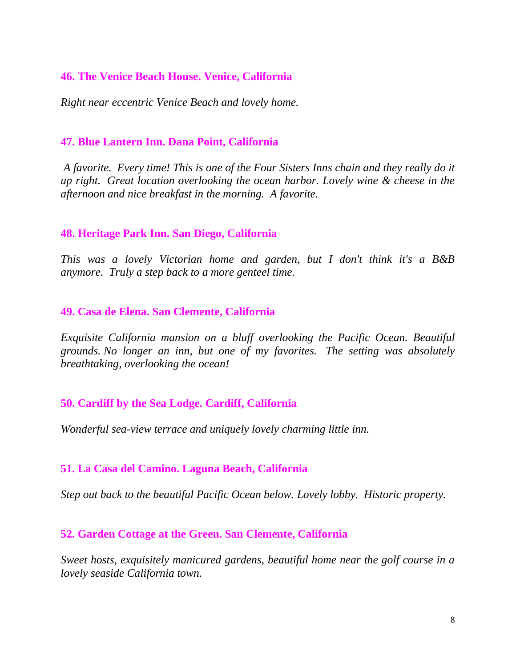### **46. The Venice Beach House. Venice, California**

*Right near eccentric Venice Beach and lovely home.*

### **47. Blue Lantern Inn. Dana Point, California**

*A favorite. Every time! This is one of the Four Sisters Inns chain and they really do it up right. Great location overlooking the ocean harbor. Lovely wine & cheese in the afternoon and nice breakfast in the morning. A favorite.*

### **48. Heritage Park Inn. San Diego, California**

*This was a lovely Victorian home and garden, but I don't think it's a B&B anymore. Truly a step back to a more genteel time.*

### **49. Casa de Elena. San Clemente, California**

*Exquisite California mansion on a bluff overlooking the Pacific Ocean. Beautiful grounds. No longer an inn, but one of my favorites. The setting was absolutely breathtaking, overlooking the ocean!*

# **50. Cardiff by the Sea Lodge. Cardiff, California**

*Wonderful sea-view terrace and uniquely lovely charming little inn.*

### **51. La Casa del Camino. Laguna Beach, California**

*Step out back to the beautiful Pacific Ocean below. Lovely lobby. Historic property.*

### **52. Garden Cottage at the Green. San Clemente, California**

*Sweet hosts, exquisitely manicured gardens, beautiful home near the golf course in a lovely seaside California town.*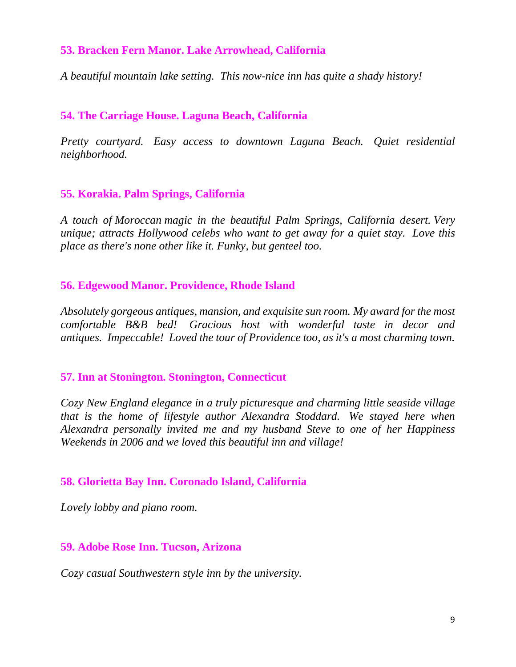### **53. Bracken Fern Manor. Lake Arrowhead, California**

*A beautiful mountain lake setting. This now-nice inn has quite a shady history!*

### **54. The Carriage House. Laguna Beach, California**

*Pretty courtyard. Easy access to downtown Laguna Beach. Quiet residential neighborhood.*

### **55. Korakia. Palm Springs, California**

*A touch of Moroccan magic in the beautiful Palm Springs, California desert. Very unique; attracts Hollywood celebs who want to get away for a quiet stay. Love this place as there's none other like it. Funky, but genteel too.*

### **56. Edgewood Manor. Providence, Rhode Island**

*Absolutely gorgeous antiques, mansion, and exquisite sun room. My award for the most comfortable B&B bed! Gracious host with wonderful taste in decor and antiques. Impeccable! Loved the tour of Providence too, as it's a most charming town.*

### **57. Inn at Stonington. Stonington, Connecticut**

*Cozy New England elegance in a truly picturesque and charming little seaside village that is the home of lifestyle author Alexandra Stoddard. We stayed here when Alexandra personally invited me and my husband Steve to one of her Happiness Weekends in 2006 and we loved this beautiful inn and village!*

### **58. Glorietta Bay Inn. Coronado Island, California**

*Lovely lobby and piano room.*

### **59. Adobe Rose Inn. Tucson, Arizona**

*Cozy casual Southwestern style inn by the university.*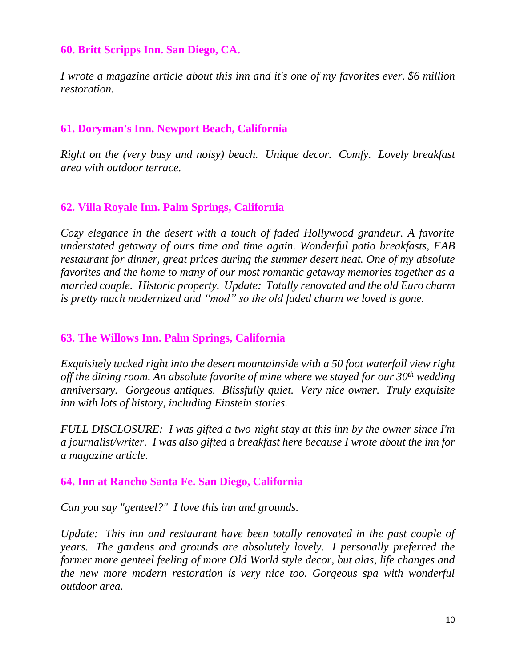### **60. Britt Scripps Inn. San Diego, CA.**

*I wrote a magazine article about this inn and it's one of my favorites ever. \$6 million restoration.*

### **61. Doryman's Inn. Newport Beach, California**

*Right on the (very busy and noisy) beach. Unique decor. Comfy. Lovely breakfast area with outdoor terrace.*

### **62. Villa Royale Inn. Palm Springs, California**

*Cozy elegance in the desert with a touch of faded Hollywood grandeur. A favorite understated getaway of ours time and time again. Wonderful patio breakfasts, FAB restaurant for dinner, great prices during the summer desert heat. One of my absolute favorites and the home to many of our most romantic getaway memories together as a married couple. Historic property. Update: Totally renovated and the old Euro charm is pretty much modernized and "mod" so the old faded charm we loved is gone.*

### **63. The Willows Inn. Palm Springs, California**

*Exquisitely tucked right into the desert mountainside with a 50 foot waterfall view right off the dining room. An absolute favorite of mine where we stayed for our 30th wedding anniversary. Gorgeous antiques. Blissfully quiet. Very nice owner. Truly exquisite inn with lots of history, including Einstein stories.*

*FULL DISCLOSURE: I was gifted a two-night stay at this inn by the owner since I'm a journalist/writer. I was also gifted a breakfast here because I wrote about the inn for a magazine article.*

### **64. Inn at Rancho Santa Fe. San Diego, California**

*Can you say "genteel?" I love this inn and grounds.*

*Update: This inn and restaurant have been totally renovated in the past couple of years. The gardens and grounds are absolutely lovely. I personally preferred the former more genteel feeling of more Old World style decor, but alas, life changes and the new more modern restoration is very nice too. Gorgeous spa with wonderful outdoor area.*